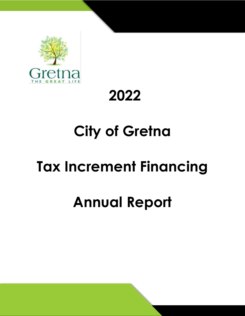

## **2022**

# **City of Gretna**

# **Tax Increment Financing**

## **Annual Report**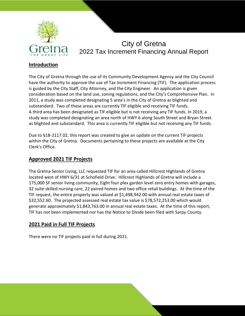

## City of Gretna 2022 Tax Increment Financing Annual Report

### **Introduction**

The City of Gretna through the use of its Community Development Agency and the City Council have the authority to approve the use of Tax Increment Financing (TIF). The application process is guided by the City Staff, City Attorney, and the City Engineer. An application is given consideration based on the land use, zoning regulations, and the City's Comprehensive Plan. In 2011, a study was completed designating 5 area's in the City of Gretna as blighted and substandard. Two of these areas are currently TIF eligible and receiving TIF funds. A third area has been designated as TIF eligible but is not receiving any TIF funds. In 2019, a study was completed designating an area north of HWY 6 along South Street and Bryan Street as blighted and substandard. This area is currently TIF eligible but not receiving any TIF funds.

Due to §18-2117.02, this report was created to give an update on the current TIF projects within the City of Gretna. Documents pertaining to these projects are available at the City Clerk's Office.

#### **Approved 2021 TIF Projects**

The Gretna Senior Living, LLC requested TIF for an area called Hillcrest Highlands of Gretna located west of HWY 6/31 at Schofield Drive. Hillcrest Highlands of Gretna will include a 175,000 SF senior living community, Eight four plex garden level zero entry homes with garages, 32 suite skilled nursing care, 22 paired homes and two office retail buildings. At the time of the TIF request, the entire property was valued at \$1,498,942.00 with annual real estate taxes of \$32,552.60. The projected assessed real estate tax value is \$78,572,253.00 which would generate approximately \$1,843,763.00 in annual real estate taxes. At the time of this report, TIF has not been implemented nor has the Notice to Divide been filed with Sarpy County.

### **2021 Paid in Full TIF Projects**

There were no TIF projects paid in full during 2021.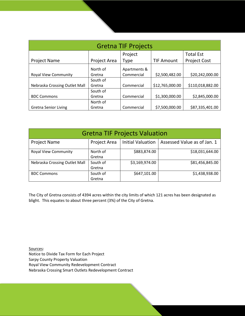| <b>Gretna TIF Projects</b>    |              |              |                   |                     |  |  |
|-------------------------------|--------------|--------------|-------------------|---------------------|--|--|
|                               |              | Project      |                   | <b>Total Est</b>    |  |  |
| <b>Project Name</b>           | Project Area | Type         | <b>TIF Amount</b> | <b>Project Cost</b> |  |  |
|                               | North of     | Apartments & |                   |                     |  |  |
| <b>Royal View Community</b>   | Gretna       | Commercial   | \$2,500,482.00    | \$20,242,000.00     |  |  |
|                               | South of     |              |                   |                     |  |  |
| Nebraska Crossing Outlet Mall | Gretna       | Commercial   | \$12,765,000.00   | \$110,018,882.00    |  |  |
|                               | South of     |              |                   |                     |  |  |
| <b>BDC Commons</b>            | Gretna       | Commercial   | \$1,300,000.00    | \$2,845,000.00      |  |  |
|                               | North of     |              |                   |                     |  |  |
| <b>Gretna Senior Living</b>   | Gretna       | Commercial   | \$7,500,000.00    | \$87,335,401.00     |  |  |

| <b>Gretna TIF Projects Valuation</b> |                     |                          |                             |  |  |
|--------------------------------------|---------------------|--------------------------|-----------------------------|--|--|
| <b>Project Name</b>                  | <b>Project Area</b> | <b>Initial Valuation</b> | Assessed Value as of Jan. 1 |  |  |
| <b>Royal View Community</b>          | North of<br>Gretna  | \$883,874.00             | \$18,031,644.00             |  |  |
|                                      |                     |                          |                             |  |  |
| Nebraska Crossing Outlet Mall        | South of            | \$3,169,974.00           | \$81,456,845.00             |  |  |
|                                      | Gretna              |                          |                             |  |  |
| <b>BDC Commons</b>                   | South of            | \$647,101.00             | \$1,438,938.00              |  |  |
|                                      | Gretna              |                          |                             |  |  |

The City of Gretna consists of 4394 acres within the city limits of which 121 acres has been designated as blight. This equates to about three percent (3%) of the City of Gretna.

Sources: Notice to Divide Tax Form for Each Project Sarpy County Property Valuation Royal View Community Redevelopment Contract Nebraska Crossing Smart Outlets Redevelopment Contract